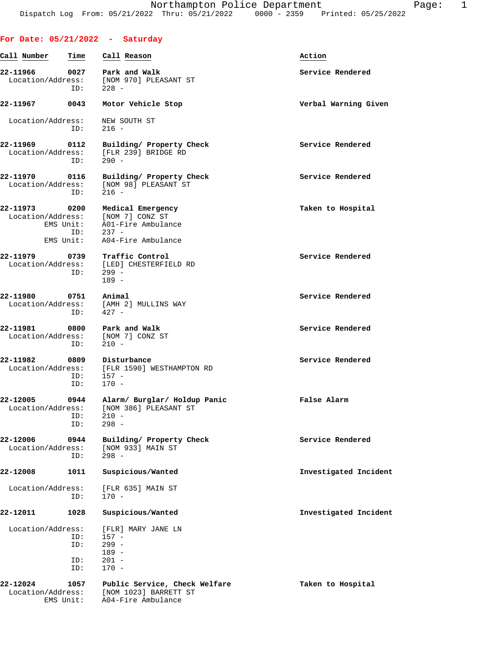## **For Date: 05/21/2022 - Saturday**

| Call Number                   | Time                                  | Call Reason                                                                                 | Action                |
|-------------------------------|---------------------------------------|---------------------------------------------------------------------------------------------|-----------------------|
| 22-11966<br>Location/Address: | 0027                                  | Park and Walk<br>[NOM 970] PLEASANT ST                                                      | Service Rendered      |
|                               | ID:                                   | $228 -$                                                                                     |                       |
| 22-11967                      | 0043                                  | Motor Vehicle Stop                                                                          | Verbal Warning Given  |
| Location/Address:             | ID:                                   | NEW SOUTH ST<br>$216 -$                                                                     |                       |
| 22-11969<br>Location/Address: | 0112<br>ID:                           | Building/ Property Check<br>[FLR 239] BRIDGE RD<br>$290 -$                                  | Service Rendered      |
| 22-11970<br>Location/Address: | 0116<br>ID:                           | Building/ Property Check<br>[NOM 98] PLEASANT ST<br>$216 -$                                 | Service Rendered      |
| 22-11973<br>Location/Address: | 0200<br>EMS Unit:<br>ID:<br>EMS Unit: | Medical Emergency<br>[NOM 7] CONZ ST<br>A01-Fire Ambulance<br>$237 -$<br>A04-Fire Ambulance | Taken to Hospital     |
| 22-11979<br>Location/Address: | 0739<br>ID:                           | Traffic Control<br>[LED] CHESTERFIELD RD<br>$299 -$<br>$189 -$                              | Service Rendered      |
| 22-11980<br>Location/Address: | 0751<br>ID:                           | Animal<br>[AMH 2] MULLINS WAY<br>$427 -$                                                    | Service Rendered      |
| 22-11981<br>Location/Address: | 0800<br>ID:                           | Park and Walk<br>[NOM 7] CONZ ST<br>$210 -$                                                 | Service Rendered      |
| 22-11982<br>Location/Address: | 0809<br>ID:<br>ID:                    | Disturbance<br>[FLR 1590] WESTHAMPTON RD<br>$157 -$<br>$170 -$                              | Service Rendered      |
| 22-12005<br>Location/Address: | 0944<br>ID:<br>ID:                    | Alarm/ Burglar/ Holdup Panic<br>[NOM 386] PLEASANT ST<br>$210 -$<br>$298 -$                 | False Alarm           |
| 22-12006<br>Location/Address: | 0944<br>ID:                           | Building/ Property Check<br>[NOM 933] MAIN ST<br>$298 -$                                    | Service Rendered      |
| 22-12008                      | 1011                                  | Suspicious/Wanted                                                                           | Investigated Incident |
| Location/Address:             | ID:                                   | [FLR 635] MAIN ST<br>$170 -$                                                                |                       |
| 22-12011                      | 1028                                  | Suspicious/Wanted                                                                           | Investigated Incident |
| Location/Address:             |                                       | [FLR] MARY JANE LN                                                                          |                       |
|                               | ID:                                   | $157 -$                                                                                     |                       |
|                               | ID:                                   | $299 -$<br>$189 -$                                                                          |                       |
|                               | ID:                                   | $201 -$                                                                                     |                       |
|                               | ID:                                   | $170 -$                                                                                     |                       |
| 22-12024<br>Location/Address: | 1057<br>EMS Unit:                     | Public Service, Check Welfare<br>[NOM 1023] BARRETT ST<br>A04-Fire Ambulance                | Taken to Hospital     |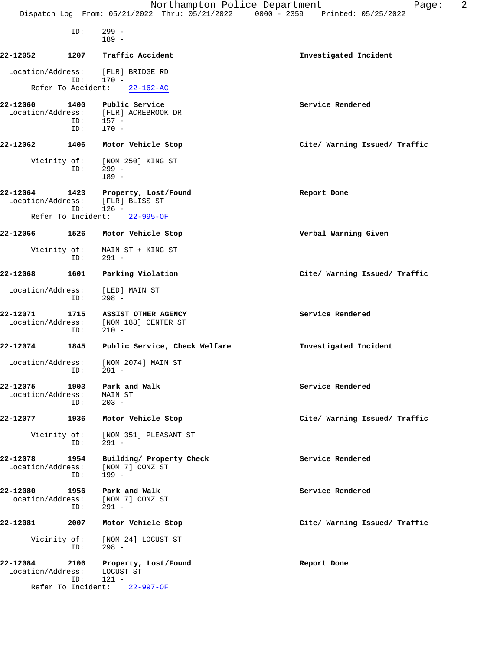|                                         |             | Northampton Police Department<br>Dispatch Log From: 05/21/2022 Thru: 05/21/2022 0000 - 2359 Printed: 05/25/2022 | 2<br>Page:                    |
|-----------------------------------------|-------------|-----------------------------------------------------------------------------------------------------------------|-------------------------------|
|                                         | ID:         | $299 -$<br>$189 -$                                                                                              |                               |
| 22-12052                                | 1207        | Traffic Accident                                                                                                | Investigated Incident         |
| Location/Address:<br>Refer To Accident: | ID:         | [FLR] BRIDGE RD<br>$170 -$<br>$22 - 162 - AC$                                                                   |                               |
| 22-12060                                | 1400        | Public Service                                                                                                  | Service Rendered              |
| Location/Address:                       | ID:<br>ID:  | [FLR] ACREBROOK DR<br>$157 -$<br>$170 -$                                                                        |                               |
| 22-12062                                | 1406        | Motor Vehicle Stop                                                                                              | Cite/ Warning Issued/ Traffic |
| Vicinity of:                            | ID:         | [NOM 250] KING ST<br>$299 -$<br>$189 -$                                                                         |                               |
| 22-12064<br>Location/Address:           | 1423<br>ID: | Property, Lost/Found<br>[FLR] BLISS ST<br>$126 -$                                                               | Report Done                   |
| Refer To Incident:                      |             | $22 - 995 - OF$                                                                                                 |                               |
| 22-12066                                | 1526        | Motor Vehicle Stop                                                                                              | Verbal Warning Given          |
| Vicinity of:                            | ID:         | MAIN ST + KING ST<br>$291 -$                                                                                    |                               |
| 22-12068                                | 1601        | Parking Violation                                                                                               | Cite/ Warning Issued/ Traffic |
| Location/Address:                       | ID:         | [LED] MAIN ST<br>$298 -$                                                                                        |                               |
| 22-12071<br>Location/Address:           | 1715<br>ID: | ASSIST OTHER AGENCY<br>[NOM 188] CENTER ST<br>$210 -$                                                           | Service Rendered              |
| 22-12074                                | 1845        | Public Service, Check Welfare                                                                                   | Investigated Incident         |
| Location/Address:                       | ID:         | [NOM 2074] MAIN ST<br>291 -                                                                                     |                               |
| 22-12075<br>Location/Address:           | 1903<br>ID: | Park and Walk<br>MAIN ST<br>$203 -$                                                                             | Service Rendered              |
| 22-12077                                | 1936        | Motor Vehicle Stop                                                                                              | Cite/ Warning Issued/ Traffic |
| Vicinity of:                            | ID:         | [NOM 351] PLEASANT ST<br>$291 -$                                                                                |                               |
| 22-12078<br>Location/Address:           | 1954<br>ID: | Building/ Property Check<br>[NOM 7] CONZ ST<br>199 -                                                            | Service Rendered              |
| 22-12080<br>Location/Address:           | 1956<br>ID: | Park and Walk<br>[NOM 7] CONZ ST<br>$291 -$                                                                     | Service Rendered              |
| 22-12081                                | 2007        | Motor Vehicle Stop                                                                                              | Cite/ Warning Issued/ Traffic |
| Vicinity of:                            | ID:         | [NOM 24] LOCUST ST<br>$298 -$                                                                                   |                               |
| 22-12084<br>Location/Address:           | 2106<br>ID: | Property, Lost/Found<br>LOCUST ST<br>$121 -$                                                                    | Report Done                   |
|                                         |             | Refer To Incident: 22-997-OF                                                                                    |                               |